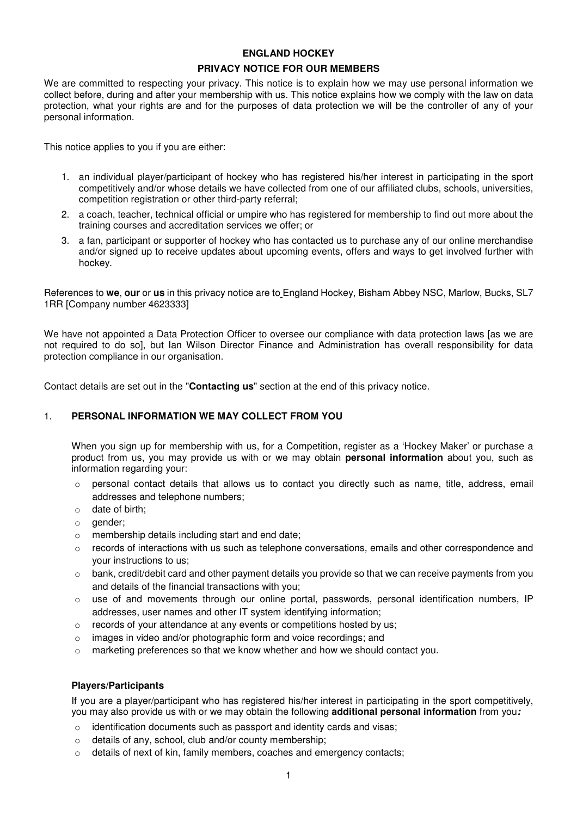# **ENGLAND HOCKEY PRIVACY NOTICE FOR OUR MEMBERS**

We are committed to respecting your privacy. This notice is to explain how we may use personal information we collect before, during and after your membership with us. This notice explains how we comply with the law on data protection, what your rights are and for the purposes of data protection we will be the controller of any of your personal information.

This notice applies to you if you are either:

- 1. an individual player/participant of hockey who has registered his/her interest in participating in the sport competitively and/or whose details we have collected from one of our affiliated clubs, schools, universities, competition registration or other third-party referral;
- 2. a coach, teacher, technical official or umpire who has registered for membership to find out more about the training courses and accreditation services we offer; or
- 3. a fan, participant or supporter of hockey who has contacted us to purchase any of our online merchandise and/or signed up to receive updates about upcoming events, offers and ways to get involved further with hockey.

References to **we**, **our** or **us** in this privacy notice are to England Hockey, Bisham Abbey NSC, Marlow, Bucks, SL7 1RR [Company number 4623333]

We have not appointed a Data Protection Officer to oversee our compliance with data protection laws [as we are not required to do so], but Ian Wilson Director Finance and Administration has overall responsibility for data protection compliance in our organisation.

Contact details are set out in the "**Contacting us**" section at the end of this privacy notice.

### 1. **PERSONAL INFORMATION WE MAY COLLECT FROM YOU**

When you sign up for membership with us, for a Competition, register as a 'Hockey Maker' or purchase a product from us, you may provide us with or we may obtain **personal information** about you, such as information regarding your:

- $\circ$  personal contact details that allows us to contact you directly such as name, title, address, email addresses and telephone numbers;
- o date of birth;
- o gender;
- o membership details including start and end date;
- $\circ$  records of interactions with us such as telephone conversations, emails and other correspondence and your instructions to us;
- $\circ$  bank, credit/debit card and other payment details you provide so that we can receive payments from you and details of the financial transactions with you;
- o use of and movements through our online portal, passwords, personal identification numbers, IP addresses, user names and other IT system identifying information;
- o records of your attendance at any events or competitions hosted by us;
- o images in video and/or photographic form and voice recordings; and
- $\circ$  marketing preferences so that we know whether and how we should contact you.

### **Players/Participants**

If you are a player/participant who has registered his/her interest in participating in the sport competitively, you may also provide us with or we may obtain the following **additional personal information** from you*:* 

- o identification documents such as passport and identity cards and visas;
- o details of any, school, club and/or county membership;
- o details of next of kin, family members, coaches and emergency contacts;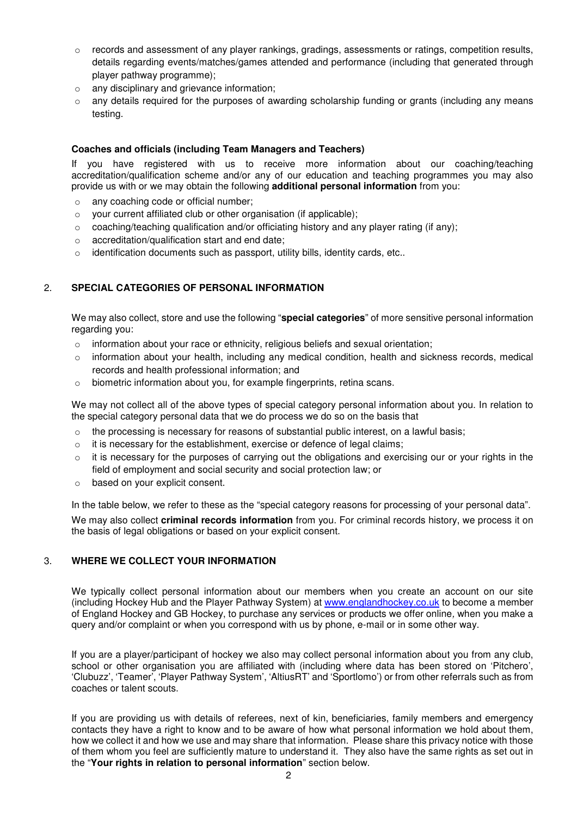- $\circ$  records and assessment of any player rankings, gradings, assessments or ratings, competition results, details regarding events/matches/games attended and performance (including that generated through player pathway programme);
- o any disciplinary and grievance information;
- $\circ$  any details required for the purposes of awarding scholarship funding or grants (including any means testing.

### **Coaches and officials (including Team Managers and Teachers)**

If you have registered with us to receive more information about our coaching/teaching accreditation/qualification scheme and/or any of our education and teaching programmes you may also provide us with or we may obtain the following **additional personal information** from you:

- o any coaching code or official number;
- o your current affiliated club or other organisation (if applicable);
- $\circ$  coaching/teaching qualification and/or officiating history and any player rating (if any);
- o accreditation/qualification start and end date;
- $\circ$  identification documents such as passport, utility bills, identity cards, etc..

# 2. **SPECIAL CATEGORIES OF PERSONAL INFORMATION**

We may also collect, store and use the following "**special categories**" of more sensitive personal information regarding you:

- o information about your race or ethnicity, religious beliefs and sexual orientation;
- $\circ$  information about your health, including any medical condition, health and sickness records, medical records and health professional information; and
- o biometric information about you, for example fingerprints, retina scans.

We may not collect all of the above types of special category personal information about you. In relation to the special category personal data that we do process we do so on the basis that

- $\circ$  the processing is necessary for reasons of substantial public interest, on a lawful basis;
- o it is necessary for the establishment, exercise or defence of legal claims;
- $\circ$  it is necessary for the purposes of carrying out the obligations and exercising our or your rights in the field of employment and social security and social protection law; or
- o based on your explicit consent.

In the table below, we refer to these as the "special category reasons for processing of your personal data". We may also collect **criminal records information** from you. For criminal records history, we process it on the basis of legal obligations or based on your explicit consent.

# 3. **WHERE WE COLLECT YOUR INFORMATION**

We typically collect personal information about our members when you create an account on our site (including Hockey Hub and the Player Pathway System) at www.englandhockey.co.uk to become a member of England Hockey and GB Hockey, to purchase any services or products we offer online, when you make a query and/or complaint or when you correspond with us by phone, e-mail or in some other way.

If you are a player/participant of hockey we also may collect personal information about you from any club, school or other organisation you are affiliated with (including where data has been stored on 'Pitchero', 'Clubuzz', 'Teamer', 'Player Pathway System', 'AltiusRT' and 'Sportlomo') or from other referrals such as from coaches or talent scouts.

If you are providing us with details of referees, next of kin, beneficiaries, family members and emergency contacts they have a right to know and to be aware of how what personal information we hold about them, how we collect it and how we use and may share that information. Please share this privacy notice with those of them whom you feel are sufficiently mature to understand it. They also have the same rights as set out in the "**Your rights in relation to personal information**" section below.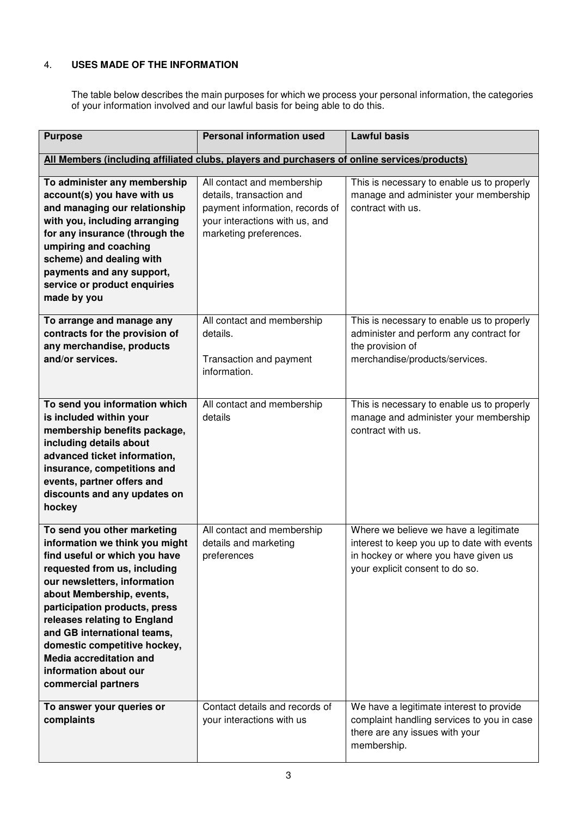# 4. **USES MADE OF THE INFORMATION**

The table below describes the main purposes for which we process your personal information, the categories of your information involved and our lawful basis for being able to do this.

| <b>Purpose</b>                                                                                                                                                                                                                                                                                                                                                                                                | <b>Personal information used</b>                                                                                                                      | <b>Lawful basis</b>                                                                                                                                             |
|---------------------------------------------------------------------------------------------------------------------------------------------------------------------------------------------------------------------------------------------------------------------------------------------------------------------------------------------------------------------------------------------------------------|-------------------------------------------------------------------------------------------------------------------------------------------------------|-----------------------------------------------------------------------------------------------------------------------------------------------------------------|
| All Members (including affiliated clubs, players and purchasers of online services/products)                                                                                                                                                                                                                                                                                                                  |                                                                                                                                                       |                                                                                                                                                                 |
| To administer any membership<br>account(s) you have with us<br>and managing our relationship<br>with you, including arranging<br>for any insurance (through the<br>umpiring and coaching<br>scheme) and dealing with<br>payments and any support,<br>service or product enquiries<br>made by you                                                                                                              | All contact and membership<br>details, transaction and<br>payment information, records of<br>your interactions with us, and<br>marketing preferences. | This is necessary to enable us to properly<br>manage and administer your membership<br>contract with us.                                                        |
| To arrange and manage any<br>contracts for the provision of<br>any merchandise, products<br>and/or services.                                                                                                                                                                                                                                                                                                  | All contact and membership<br>details.<br>Transaction and payment<br>information.                                                                     | This is necessary to enable us to properly<br>administer and perform any contract for<br>the provision of<br>merchandise/products/services.                     |
| To send you information which<br>is included within your<br>membership benefits package,<br>including details about<br>advanced ticket information,<br>insurance, competitions and<br>events, partner offers and<br>discounts and any updates on<br>hockey                                                                                                                                                    | All contact and membership<br>details                                                                                                                 | This is necessary to enable us to properly<br>manage and administer your membership<br>contract with us.                                                        |
| To send you other marketing<br>information we think you might<br>find useful or which you have<br>requested from us, including<br>our newsletters, information<br>about Membership, events,<br>participation products, press<br>releases relating to England<br>and GB international teams,<br>domestic competitive hockey,<br><b>Media accreditation and</b><br>information about our<br>commercial partners | All contact and membership<br>details and marketing<br>preferences                                                                                    | Where we believe we have a legitimate<br>interest to keep you up to date with events<br>in hockey or where you have given us<br>your explicit consent to do so. |
| To answer your queries or<br>complaints                                                                                                                                                                                                                                                                                                                                                                       | Contact details and records of<br>your interactions with us                                                                                           | We have a legitimate interest to provide<br>complaint handling services to you in case<br>there are any issues with your<br>membership.                         |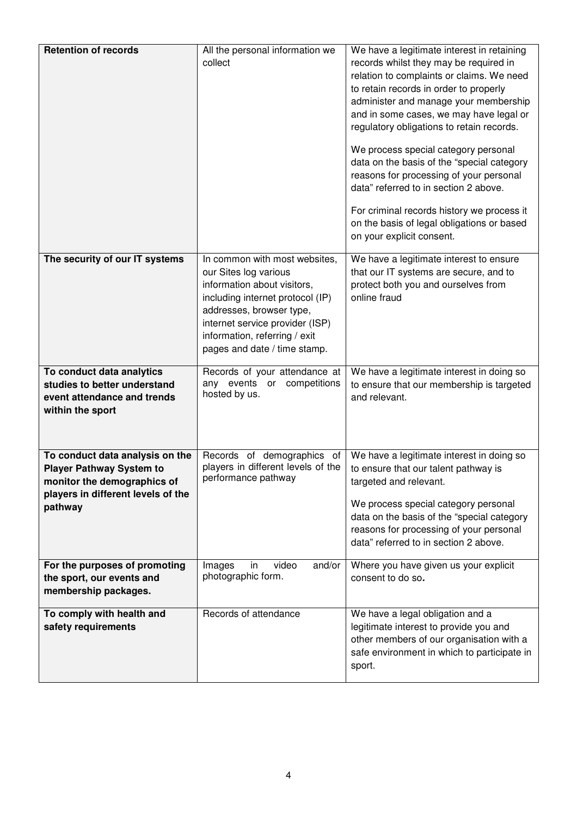| <b>Retention of records</b>                                                                                                                        | All the personal information we<br>collect                                                                                                                                                                                                                | We have a legitimate interest in retaining<br>records whilst they may be required in<br>relation to complaints or claims. We need<br>to retain records in order to properly<br>administer and manage your membership<br>and in some cases, we may have legal or<br>regulatory obligations to retain records.<br>We process special category personal<br>data on the basis of the "special category<br>reasons for processing of your personal<br>data" referred to in section 2 above.<br>For criminal records history we process it<br>on the basis of legal obligations or based<br>on your explicit consent. |
|----------------------------------------------------------------------------------------------------------------------------------------------------|-----------------------------------------------------------------------------------------------------------------------------------------------------------------------------------------------------------------------------------------------------------|-----------------------------------------------------------------------------------------------------------------------------------------------------------------------------------------------------------------------------------------------------------------------------------------------------------------------------------------------------------------------------------------------------------------------------------------------------------------------------------------------------------------------------------------------------------------------------------------------------------------|
| The security of our IT systems                                                                                                                     | In common with most websites,<br>our Sites log various<br>information about visitors,<br>including internet protocol (IP)<br>addresses, browser type,<br>internet service provider (ISP)<br>information, referring / exit<br>pages and date / time stamp. | We have a legitimate interest to ensure<br>that our IT systems are secure, and to<br>protect both you and ourselves from<br>online fraud                                                                                                                                                                                                                                                                                                                                                                                                                                                                        |
| To conduct data analytics<br>studies to better understand<br>event attendance and trends<br>within the sport                                       | Records of your attendance at<br>any events or<br>competitions<br>hosted by us.                                                                                                                                                                           | We have a legitimate interest in doing so<br>to ensure that our membership is targeted<br>and relevant.                                                                                                                                                                                                                                                                                                                                                                                                                                                                                                         |
| To conduct data analysis on the<br><b>Player Pathway System to</b><br>monitor the demographics of<br>players in different levels of the<br>pathway | Records of demographics of<br>players in different levels of the<br>performance pathway                                                                                                                                                                   | We have a legitimate interest in doing so<br>to ensure that our talent pathway is<br>targeted and relevant.<br>We process special category personal<br>data on the basis of the "special category<br>reasons for processing of your personal<br>data" referred to in section 2 above.                                                                                                                                                                                                                                                                                                                           |
| For the purposes of promoting<br>the sport, our events and<br>membership packages.                                                                 | video<br>Images<br>and/or<br>in<br>photographic form.                                                                                                                                                                                                     | Where you have given us your explicit<br>consent to do so.                                                                                                                                                                                                                                                                                                                                                                                                                                                                                                                                                      |
| To comply with health and<br>safety requirements                                                                                                   | Records of attendance                                                                                                                                                                                                                                     | We have a legal obligation and a<br>legitimate interest to provide you and<br>other members of our organisation with a<br>safe environment in which to participate in<br>sport.                                                                                                                                                                                                                                                                                                                                                                                                                                 |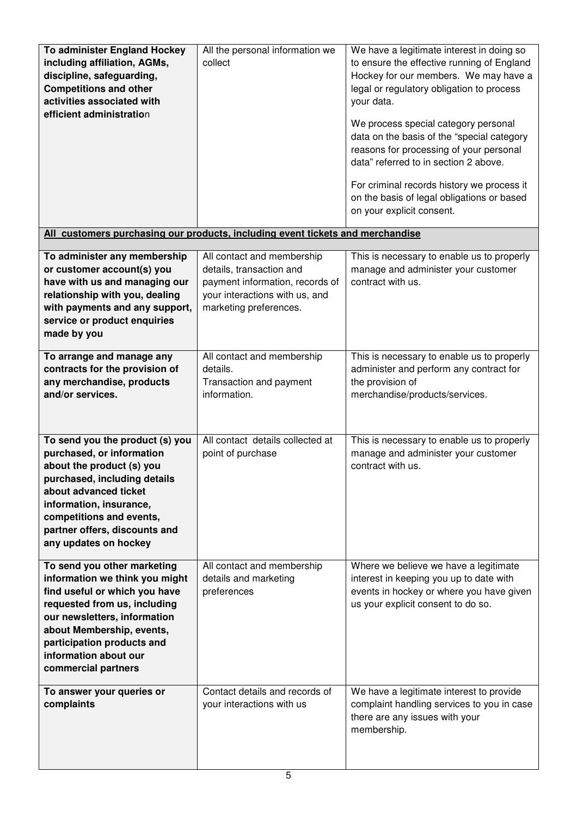| To administer England Hockey<br>including affiliation, AGMs,<br>discipline, safeguarding,<br><b>Competitions and other</b><br>activities associated with<br>efficient administration                                                                                      | All the personal information we<br>collect                                                                                                            | We have a legitimate interest in doing so<br>to ensure the effective running of England<br>Hockey for our members. We may have a<br>legal or regulatory obligation to process<br>your data.<br>We process special category personal<br>data on the basis of the "special category<br>reasons for processing of your personal<br>data" referred to in section 2 above.<br>For criminal records history we process it<br>on the basis of legal obligations or based<br>on your explicit consent. |
|---------------------------------------------------------------------------------------------------------------------------------------------------------------------------------------------------------------------------------------------------------------------------|-------------------------------------------------------------------------------------------------------------------------------------------------------|------------------------------------------------------------------------------------------------------------------------------------------------------------------------------------------------------------------------------------------------------------------------------------------------------------------------------------------------------------------------------------------------------------------------------------------------------------------------------------------------|
| All customers purchasing our products, including event tickets and merchandise                                                                                                                                                                                            |                                                                                                                                                       |                                                                                                                                                                                                                                                                                                                                                                                                                                                                                                |
| To administer any membership<br>or customer account(s) you<br>have with us and managing our<br>relationship with you, dealing<br>with payments and any support,<br>service or product enquiries<br>made by you                                                            | All contact and membership<br>details, transaction and<br>payment information, records of<br>your interactions with us, and<br>marketing preferences. | This is necessary to enable us to properly<br>manage and administer your customer<br>contract with us.                                                                                                                                                                                                                                                                                                                                                                                         |
| To arrange and manage any<br>contracts for the provision of<br>any merchandise, products<br>and/or services.                                                                                                                                                              | All contact and membership<br>details.<br>Transaction and payment<br>information.                                                                     | This is necessary to enable us to properly<br>administer and perform any contract for<br>the provision of<br>merchandise/products/services.                                                                                                                                                                                                                                                                                                                                                    |
| To send you the product (s) you<br>purchased, or information<br>about the product (s) you<br>purchased, including details<br>about advanced ticket<br>information, insurance,<br>competitions and events,<br>partner offers, discounts and<br>any updates on hockey       | All contact details collected at<br>point of purchase                                                                                                 | This is necessary to enable us to properly<br>manage and administer your customer<br>contract with us.                                                                                                                                                                                                                                                                                                                                                                                         |
| To send you other marketing<br>information we think you might<br>find useful or which you have<br>requested from us, including<br>our newsletters, information<br>about Membership, events,<br>participation products and<br>information about our<br>commercial partners | All contact and membership<br>details and marketing<br>preferences                                                                                    | Where we believe we have a legitimate<br>interest in keeping you up to date with<br>events in hockey or where you have given<br>us your explicit consent to do so.                                                                                                                                                                                                                                                                                                                             |
| To answer your queries or<br>complaints                                                                                                                                                                                                                                   | Contact details and records of<br>your interactions with us                                                                                           | We have a legitimate interest to provide<br>complaint handling services to you in case<br>there are any issues with your<br>membership.                                                                                                                                                                                                                                                                                                                                                        |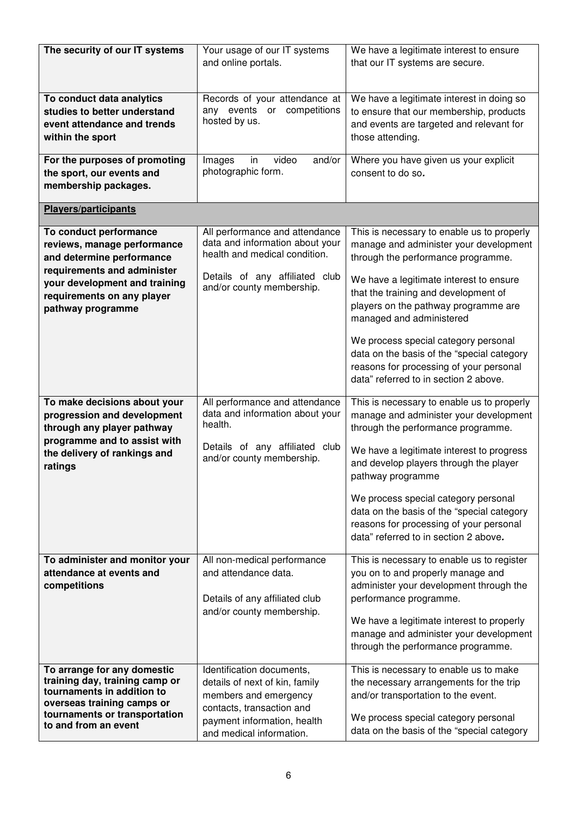| The security of our IT systems                                                                                                                                                                        | Your usage of our IT systems<br>and online portals.                                                                                                                          | We have a legitimate interest to ensure<br>that our IT systems are secure.                                                                                                                                                                                                                                                                                                                                       |
|-------------------------------------------------------------------------------------------------------------------------------------------------------------------------------------------------------|------------------------------------------------------------------------------------------------------------------------------------------------------------------------------|------------------------------------------------------------------------------------------------------------------------------------------------------------------------------------------------------------------------------------------------------------------------------------------------------------------------------------------------------------------------------------------------------------------|
| To conduct data analytics<br>studies to better understand<br>event attendance and trends<br>within the sport                                                                                          | Records of your attendance at<br>any events or competitions<br>hosted by us.                                                                                                 | We have a legitimate interest in doing so<br>to ensure that our membership, products<br>and events are targeted and relevant for<br>those attending.                                                                                                                                                                                                                                                             |
| For the purposes of promoting<br>the sport, our events and<br>membership packages.                                                                                                                    | video<br>Images<br>in<br>and/or<br>photographic form.                                                                                                                        | Where you have given us your explicit<br>consent to do so.                                                                                                                                                                                                                                                                                                                                                       |
| Players/participants                                                                                                                                                                                  |                                                                                                                                                                              |                                                                                                                                                                                                                                                                                                                                                                                                                  |
| To conduct performance<br>reviews, manage performance<br>and determine performance<br>requirements and administer<br>your development and training<br>requirements on any player<br>pathway programme | All performance and attendance<br>data and information about your<br>health and medical condition.<br>Details of any affiliated club<br>and/or county membership.            | This is necessary to enable us to properly<br>manage and administer your development<br>through the performance programme.<br>We have a legitimate interest to ensure<br>that the training and development of<br>players on the pathway programme are<br>managed and administered                                                                                                                                |
|                                                                                                                                                                                                       |                                                                                                                                                                              | We process special category personal<br>data on the basis of the "special category<br>reasons for processing of your personal<br>data" referred to in section 2 above.                                                                                                                                                                                                                                           |
| To make decisions about your<br>progression and development<br>through any player pathway<br>programme and to assist with<br>the delivery of rankings and<br>ratings                                  | All performance and attendance<br>data and information about your<br>health.<br>Details of any affiliated club<br>and/or county membership.                                  | This is necessary to enable us to properly<br>manage and administer your development<br>through the performance programme.<br>We have a legitimate interest to progress<br>and develop players through the player<br>pathway programme<br>We process special category personal<br>data on the basis of the "special category<br>reasons for processing of your personal<br>data" referred to in section 2 above. |
| To administer and monitor your<br>attendance at events and<br>competitions                                                                                                                            | All non-medical performance<br>and attendance data.<br>Details of any affiliated club<br>and/or county membership.                                                           | This is necessary to enable us to register<br>you on to and properly manage and<br>administer your development through the<br>performance programme.<br>We have a legitimate interest to properly<br>manage and administer your development<br>through the performance programme.                                                                                                                                |
| To arrange for any domestic<br>training day, training camp or<br>tournaments in addition to<br>overseas training camps or<br>tournaments or transportation<br>to and from an event                    | Identification documents,<br>details of next of kin, family<br>members and emergency<br>contacts, transaction and<br>payment information, health<br>and medical information. | This is necessary to enable us to make<br>the necessary arrangements for the trip<br>and/or transportation to the event.<br>We process special category personal<br>data on the basis of the "special category                                                                                                                                                                                                   |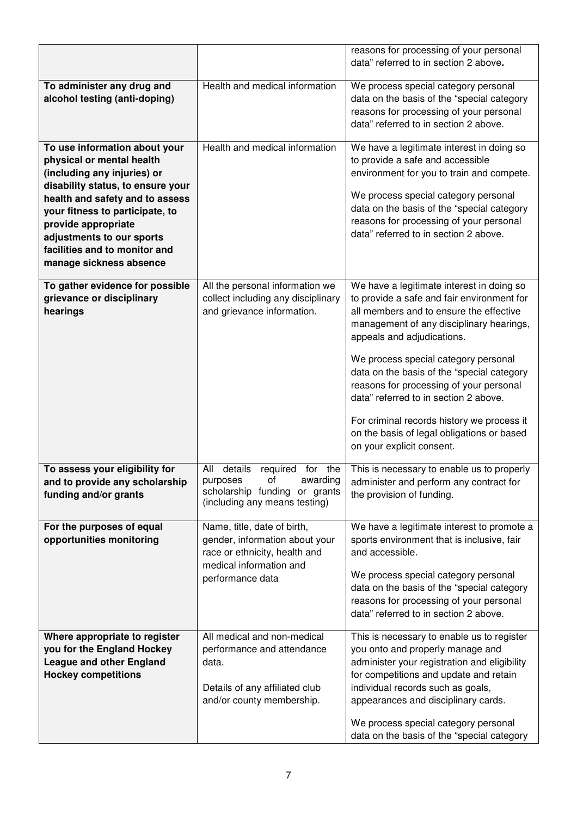|                                                                                                                                                                                                                                                                                                                      |                                                                                                                                               | reasons for processing of your personal<br>data" referred to in section 2 above.                                                                                                                                                                                                                                                                                                                                                                                                                                |
|----------------------------------------------------------------------------------------------------------------------------------------------------------------------------------------------------------------------------------------------------------------------------------------------------------------------|-----------------------------------------------------------------------------------------------------------------------------------------------|-----------------------------------------------------------------------------------------------------------------------------------------------------------------------------------------------------------------------------------------------------------------------------------------------------------------------------------------------------------------------------------------------------------------------------------------------------------------------------------------------------------------|
| To administer any drug and<br>alcohol testing (anti-doping)                                                                                                                                                                                                                                                          | Health and medical information                                                                                                                | We process special category personal<br>data on the basis of the "special category<br>reasons for processing of your personal<br>data" referred to in section 2 above.                                                                                                                                                                                                                                                                                                                                          |
| To use information about your<br>physical or mental health<br>(including any injuries) or<br>disability status, to ensure your<br>health and safety and to assess<br>your fitness to participate, to<br>provide appropriate<br>adjustments to our sports<br>facilities and to monitor and<br>manage sickness absence | Health and medical information                                                                                                                | We have a legitimate interest in doing so<br>to provide a safe and accessible<br>environment for you to train and compete.<br>We process special category personal<br>data on the basis of the "special category<br>reasons for processing of your personal<br>data" referred to in section 2 above.                                                                                                                                                                                                            |
| To gather evidence for possible<br>grievance or disciplinary<br>hearings                                                                                                                                                                                                                                             | All the personal information we<br>collect including any disciplinary<br>and grievance information.                                           | We have a legitimate interest in doing so<br>to provide a safe and fair environment for<br>all members and to ensure the effective<br>management of any disciplinary hearings,<br>appeals and adjudications.<br>We process special category personal<br>data on the basis of the "special category<br>reasons for processing of your personal<br>data" referred to in section 2 above.<br>For criminal records history we process it<br>on the basis of legal obligations or based<br>on your explicit consent. |
| To assess your eligibility for<br>and to provide any scholarship<br>funding and/or grants                                                                                                                                                                                                                            | details<br>All<br>required<br>the<br>for<br>purposes<br>οt<br>awarding<br>scholarship funding<br>or grants<br>(including any means testing)   | This is necessary to enable us to properly<br>administer and perform any contract for<br>the provision of funding.                                                                                                                                                                                                                                                                                                                                                                                              |
| For the purposes of equal<br>opportunities monitoring                                                                                                                                                                                                                                                                | Name, title, date of birth,<br>gender, information about your<br>race or ethnicity, health and<br>medical information and<br>performance data | We have a legitimate interest to promote a<br>sports environment that is inclusive, fair<br>and accessible.<br>We process special category personal<br>data on the basis of the "special category<br>reasons for processing of your personal<br>data" referred to in section 2 above.                                                                                                                                                                                                                           |
| Where appropriate to register<br>you for the England Hockey<br><b>League and other England</b><br><b>Hockey competitions</b>                                                                                                                                                                                         | All medical and non-medical<br>performance and attendance<br>data.<br>Details of any affiliated club<br>and/or county membership.             | This is necessary to enable us to register<br>you onto and properly manage and<br>administer your registration and eligibility<br>for competitions and update and retain<br>individual records such as goals,<br>appearances and disciplinary cards.<br>We process special category personal<br>data on the basis of the "special category                                                                                                                                                                      |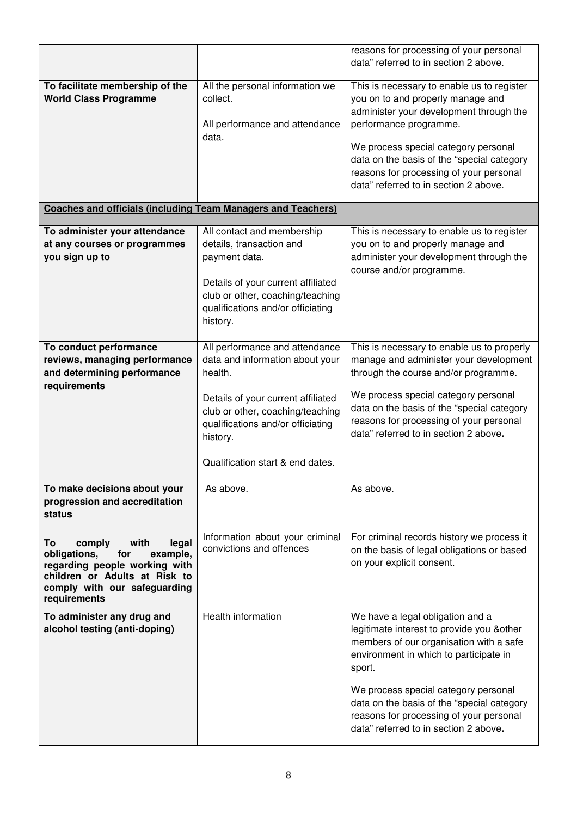|                                                                                                                                                                                    |                                                                                                                                                             | reasons for processing of your personal<br>data" referred to in section 2 above.                                                                                                                                                                                                                                               |
|------------------------------------------------------------------------------------------------------------------------------------------------------------------------------------|-------------------------------------------------------------------------------------------------------------------------------------------------------------|--------------------------------------------------------------------------------------------------------------------------------------------------------------------------------------------------------------------------------------------------------------------------------------------------------------------------------|
|                                                                                                                                                                                    |                                                                                                                                                             |                                                                                                                                                                                                                                                                                                                                |
| To facilitate membership of the<br><b>World Class Programme</b>                                                                                                                    | All the personal information we<br>collect.<br>All performance and attendance<br>data.                                                                      | This is necessary to enable us to register<br>you on to and properly manage and<br>administer your development through the<br>performance programme.<br>We process special category personal<br>data on the basis of the "special category<br>reasons for processing of your personal<br>data" referred to in section 2 above. |
| <b>Coaches and officials (including Team Managers and Teachers)</b>                                                                                                                |                                                                                                                                                             |                                                                                                                                                                                                                                                                                                                                |
| To administer your attendance<br>at any courses or programmes<br>you sign up to                                                                                                    | All contact and membership<br>details, transaction and<br>payment data.                                                                                     | This is necessary to enable us to register<br>you on to and properly manage and<br>administer your development through the                                                                                                                                                                                                     |
|                                                                                                                                                                                    | Details of your current affiliated<br>club or other, coaching/teaching<br>qualifications and/or officiating<br>history.                                     | course and/or programme.                                                                                                                                                                                                                                                                                                       |
| To conduct performance<br>reviews, managing performance<br>and determining performance<br>requirements                                                                             | All performance and attendance<br>data and information about your<br>health.                                                                                | This is necessary to enable us to properly<br>manage and administer your development<br>through the course and/or programme.                                                                                                                                                                                                   |
|                                                                                                                                                                                    | Details of your current affiliated<br>club or other, coaching/teaching<br>qualifications and/or officiating<br>history.<br>Qualification start & end dates. | We process special category personal<br>data on the basis of the "special category<br>reasons for processing of your personal<br>data" referred to in section 2 above.                                                                                                                                                         |
|                                                                                                                                                                                    |                                                                                                                                                             |                                                                                                                                                                                                                                                                                                                                |
| To make decisions about your<br>progression and accreditation<br>status                                                                                                            | As above.                                                                                                                                                   | As above.                                                                                                                                                                                                                                                                                                                      |
| with<br>To<br>comply<br>legal<br>obligations,<br>for<br>example,<br>regarding people working with<br>children or Adults at Risk to<br>comply with our safeguarding<br>requirements | Information about your criminal<br>convictions and offences                                                                                                 | For criminal records history we process it<br>on the basis of legal obligations or based<br>on your explicit consent.                                                                                                                                                                                                          |
| To administer any drug and<br>alcohol testing (anti-doping)                                                                                                                        | Health information                                                                                                                                          | We have a legal obligation and a<br>legitimate interest to provide you & other<br>members of our organisation with a safe<br>environment in which to participate in<br>sport.                                                                                                                                                  |
|                                                                                                                                                                                    |                                                                                                                                                             | We process special category personal<br>data on the basis of the "special category<br>reasons for processing of your personal<br>data" referred to in section 2 above.                                                                                                                                                         |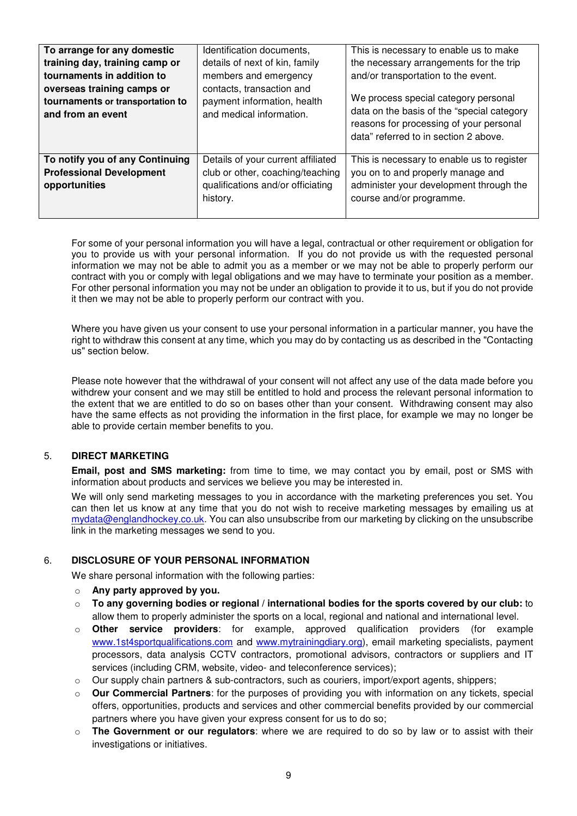| To arrange for any domestic<br>training day, training camp or<br>tournaments in addition to<br>overseas training camps or<br>tournaments or transportation to<br>and from an event | Identification documents,<br>details of next of kin, family<br>members and emergency<br>contacts, transaction and<br>payment information, health<br>and medical information. | This is necessary to enable us to make<br>the necessary arrangements for the trip<br>and/or transportation to the event.<br>We process special category personal<br>data on the basis of the "special category"<br>reasons for processing of your personal<br>data" referred to in section 2 above. |
|------------------------------------------------------------------------------------------------------------------------------------------------------------------------------------|------------------------------------------------------------------------------------------------------------------------------------------------------------------------------|-----------------------------------------------------------------------------------------------------------------------------------------------------------------------------------------------------------------------------------------------------------------------------------------------------|
| To notify you of any Continuing<br><b>Professional Development</b><br>opportunities                                                                                                | Details of your current affiliated<br>club or other, coaching/teaching<br>qualifications and/or officiating<br>history.                                                      | This is necessary to enable us to register<br>you on to and properly manage and<br>administer your development through the<br>course and/or programme.                                                                                                                                              |

For some of your personal information you will have a legal, contractual or other requirement or obligation for you to provide us with your personal information. If you do not provide us with the requested personal information we may not be able to admit you as a member or we may not be able to properly perform our contract with you or comply with legal obligations and we may have to terminate your position as a member. For other personal information you may not be under an obligation to provide it to us, but if you do not provide it then we may not be able to properly perform our contract with you.

Where you have given us your consent to use your personal information in a particular manner, you have the right to withdraw this consent at any time, which you may do by contacting us as described in the "Contacting us" section below.

Please note however that the withdrawal of your consent will not affect any use of the data made before you withdrew your consent and we may still be entitled to hold and process the relevant personal information to the extent that we are entitled to do so on bases other than your consent. Withdrawing consent may also have the same effects as not providing the information in the first place, for example we may no longer be able to provide certain member benefits to you.

# 5. **DIRECT MARKETING**

**Email, post and SMS marketing:** from time to time, we may contact you by email, post or SMS with information about products and services we believe you may be interested in.

We will only send marketing messages to you in accordance with the marketing preferences you set. You can then let us know at any time that you do not wish to receive marketing messages by emailing us at mydata@englandhockey.co.uk. You can also unsubscribe from our marketing by clicking on the unsubscribe link in the marketing messages we send to you.

### 6. **DISCLOSURE OF YOUR PERSONAL INFORMATION**

We share personal information with the following parties:

- o **Any party approved by you.**
- o **To any governing bodies or regional / international bodies for the sports covered by our club:** to allow them to properly administer the sports on a local, regional and national and international level.
- o **Other service providers**: for example, approved qualification providers (for example www.1st4sportqualifications.com and www.mytrainingdiary.org), email marketing specialists, payment processors, data analysis CCTV contractors, promotional advisors, contractors or suppliers and IT services (including CRM, website, video- and teleconference services);
- o Our supply chain partners & sub-contractors, such as couriers, import/export agents, shippers;
- o **Our Commercial Partners**: for the purposes of providing you with information on any tickets, special offers, opportunities, products and services and other commercial benefits provided by our commercial partners where you have given your express consent for us to do so;
- **The Government or our regulators:** where we are required to do so by law or to assist with their investigations or initiatives.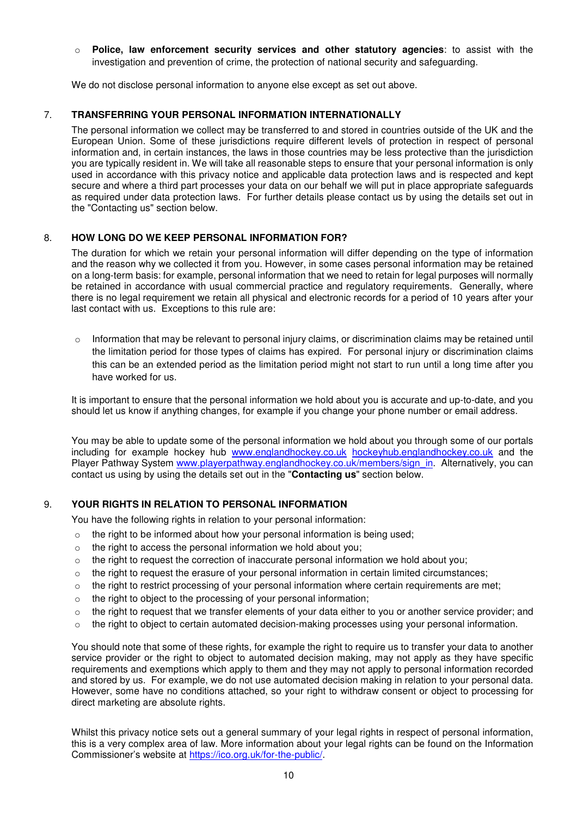o **Police, law enforcement security services and other statutory agencies**: to assist with the investigation and prevention of crime, the protection of national security and safeguarding.

We do not disclose personal information to anyone else except as set out above.

# 7. **TRANSFERRING YOUR PERSONAL INFORMATION INTERNATIONALLY**

The personal information we collect may be transferred to and stored in countries outside of the UK and the European Union. Some of these jurisdictions require different levels of protection in respect of personal information and, in certain instances, the laws in those countries may be less protective than the jurisdiction you are typically resident in. We will take all reasonable steps to ensure that your personal information is only used in accordance with this privacy notice and applicable data protection laws and is respected and kept secure and where a third part processes your data on our behalf we will put in place appropriate safeguards as required under data protection laws. For further details please contact us by using the details set out in the "Contacting us" section below.

# 8. **HOW LONG DO WE KEEP PERSONAL INFORMATION FOR?**

The duration for which we retain your personal information will differ depending on the type of information and the reason why we collected it from you. However, in some cases personal information may be retained on a long-term basis: for example, personal information that we need to retain for legal purposes will normally be retained in accordance with usual commercial practice and regulatory requirements. Generally, where there is no legal requirement we retain all physical and electronic records for a period of 10 years after your last contact with us. Exceptions to this rule are:

 $\circ$  Information that may be relevant to personal injury claims, or discrimination claims may be retained until the limitation period for those types of claims has expired. For personal injury or discrimination claims this can be an extended period as the limitation period might not start to run until a long time after you have worked for us.

It is important to ensure that the personal information we hold about you is accurate and up-to-date, and you should let us know if anything changes, for example if you change your phone number or email address.

You may be able to update some of the personal information we hold about you through some of our portals including for example hockey hub www.englandhockey.co.uk hockeyhub.englandhockey.co.uk and the Player Pathway System www.playerpathway.englandhockey.co.uk/members/sign\_in. Alternatively, you can contact us using by using the details set out in the "**Contacting us**" section below.

### 9. **YOUR RIGHTS IN RELATION TO PERSONAL INFORMATION**

You have the following rights in relation to your personal information:

- o the right to be informed about how your personal information is being used;
- o the right to access the personal information we hold about you;
- $\circ$  the right to request the correction of inaccurate personal information we hold about you;
- $\circ$  the right to request the erasure of your personal information in certain limited circumstances;
- o the right to restrict processing of your personal information where certain requirements are met;
- o the right to object to the processing of your personal information;
- $\circ$  the right to request that we transfer elements of your data either to you or another service provider; and
- $\circ$  the right to object to certain automated decision-making processes using your personal information.

You should note that some of these rights, for example the right to require us to transfer your data to another service provider or the right to object to automated decision making, may not apply as they have specific requirements and exemptions which apply to them and they may not apply to personal information recorded and stored by us. For example, we do not use automated decision making in relation to your personal data. However, some have no conditions attached, so your right to withdraw consent or object to processing for direct marketing are absolute rights.

Whilst this privacy notice sets out a general summary of your legal rights in respect of personal information, this is a very complex area of law. More information about your legal rights can be found on the Information Commissioner's website at https://ico.org.uk/for-the-public/.